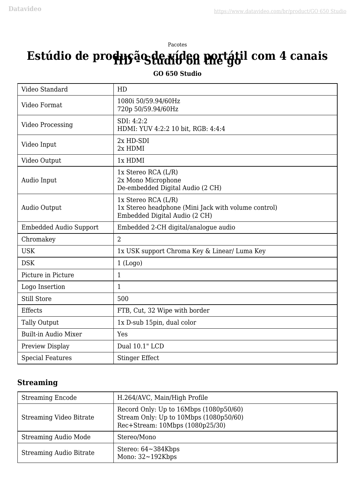# Pacotes **Estúdio de produção de vídeo portátil com 4 canais**

#### **GO 650 Studio**

| Video Standard                | HD                                                                                                          |
|-------------------------------|-------------------------------------------------------------------------------------------------------------|
| Video Format                  | 1080i 50/59.94/60Hz<br>720p 50/59.94/60Hz                                                                   |
| <b>Video Processing</b>       | SDI: 4:2:2<br>HDMI: YUV 4:2:2 10 bit, RGB: 4:4:4                                                            |
| Video Input                   | 2x HD-SDI<br>2x HDMI                                                                                        |
| Video Output                  | 1x HDMI                                                                                                     |
| Audio Input                   | 1x Stereo RCA (L/R)<br>2x Mono Microphone<br>De-embedded Digital Audio (2 CH)                               |
| Audio Output                  | 1x Stereo RCA (L/R)<br>1x Stereo headphone (Mini Jack with volume control)<br>Embedded Digital Audio (2 CH) |
| <b>Embedded Audio Support</b> | Embedded 2-CH digital/analogue audio                                                                        |
| Chromakey                     | $\overline{2}$                                                                                              |
| <b>USK</b>                    | 1x USK support Chroma Key & Linear/ Luma Key                                                                |
| <b>DSK</b>                    | 1 (Logo)                                                                                                    |
| Picture in Picture            | $\mathbf{1}$                                                                                                |
| Logo Insertion                | $\mathbf{1}$                                                                                                |
| <b>Still Store</b>            | 500                                                                                                         |
| <b>Effects</b>                | FTB, Cut, 32 Wipe with border                                                                               |
| <b>Tally Output</b>           | 1x D-sub 15pin, dual color                                                                                  |
| <b>Built-in Audio Mixer</b>   | Yes                                                                                                         |
| Preview Display               | Dual 10.1" LCD                                                                                              |
| <b>Special Features</b>       | <b>Stinger Effect</b>                                                                                       |

### **Streaming**

| <b>Streaming Encode</b>        | H.264/AVC, Main/High Profile                                                                                        |
|--------------------------------|---------------------------------------------------------------------------------------------------------------------|
| Streaming Video Bitrate        | Record Only: Up to 16Mbps (1080p50/60)<br>Stream Only: Up to 10Mbps (1080p50/60)<br>Rec+Stream: 10Mbps (1080p25/30) |
| Streaming Audio Mode           | Stereo/Mono                                                                                                         |
| <b>Streaming Audio Bitrate</b> | Stereo: $64 \sim 384$ Kbps<br>Mono: $32 \sim 192$ Kbps                                                              |